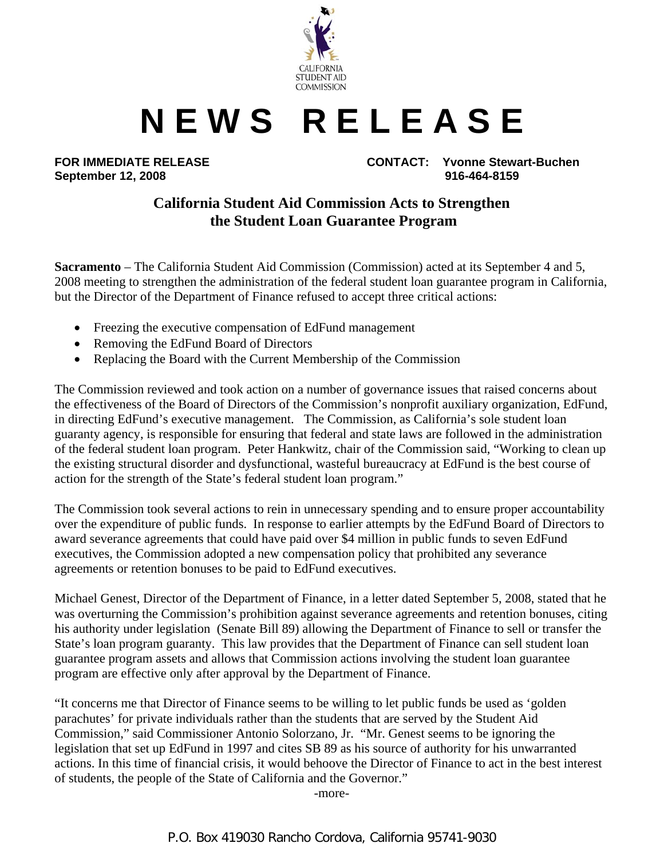

## **N E W S R E L E A S E**

**September 12, 2008 916-464-8159** 

**FOR IMMEDIATE RELEASE CONTACT: Yvonne Stewart-Buchen** 

## **California Student Aid Commission Acts to Strengthen the Student Loan Guarantee Program**

**Sacramento** – The California Student Aid Commission (Commission) acted at its September 4 and 5, 2008 meeting to strengthen the administration of the federal student loan guarantee program in California, but the Director of the Department of Finance refused to accept three critical actions:

- Freezing the executive compensation of EdFund management
- Removing the EdFund Board of Directors
- Replacing the Board with the Current Membership of the Commission

The Commission reviewed and took action on a number of governance issues that raised concerns about the effectiveness of the Board of Directors of the Commission's nonprofit auxiliary organization, EdFund, in directing EdFund's executive management. The Commission, as California's sole student loan guaranty agency, is responsible for ensuring that federal and state laws are followed in the administration of the federal student loan program. Peter Hankwitz, chair of the Commission said, "Working to clean up the existing structural disorder and dysfunctional, wasteful bureaucracy at EdFund is the best course of action for the strength of the State's federal student loan program."

The Commission took several actions to rein in unnecessary spending and to ensure proper accountability over the expenditure of public funds. In response to earlier attempts by the EdFund Board of Directors to award severance agreements that could have paid over \$4 million in public funds to seven EdFund executives, the Commission adopted a new compensation policy that prohibited any severance agreements or retention bonuses to be paid to EdFund executives.

Michael Genest, Director of the Department of Finance, in a letter dated September 5, 2008, stated that he was overturning the Commission's prohibition against severance agreements and retention bonuses, citing his authority under legislation (Senate Bill 89) allowing the Department of Finance to sell or transfer the State's loan program guaranty. This law provides that the Department of Finance can sell student loan guarantee program assets and allows that Commission actions involving the student loan guarantee program are effective only after approval by the Department of Finance.

"It concerns me that Director of Finance seems to be willing to let public funds be used as 'golden parachutes' for private individuals rather than the students that are served by the Student Aid Commission," said Commissioner Antonio Solorzano, Jr. "Mr. Genest seems to be ignoring the legislation that set up EdFund in 1997 and cites SB 89 as his source of authority for his unwarranted actions. In this time of financial crisis, it would behoove the Director of Finance to act in the best interest of students, the people of the State of California and the Governor."

-more-